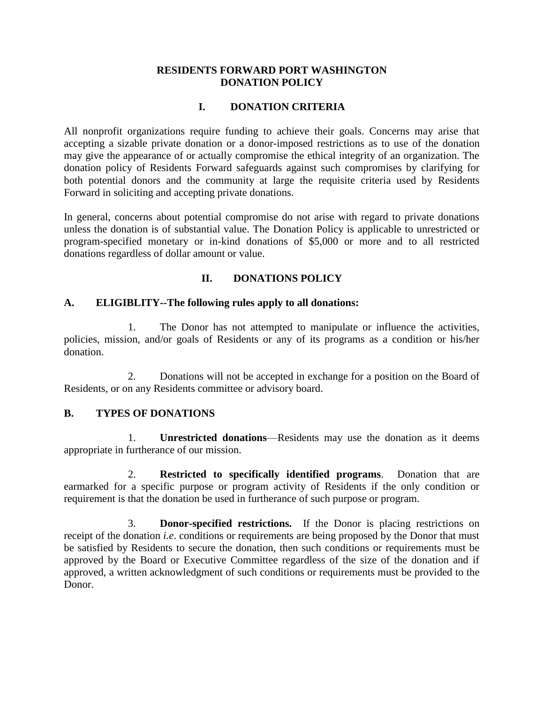#### **RESIDENTS FORWARD PORT WASHINGTON DONATION POLICY**

### **I. DONATION CRITERIA**

All nonprofit organizations require funding to achieve their goals. Concerns may arise that accepting a sizable private donation or a donor-imposed restrictions as to use of the donation may give the appearance of or actually compromise the ethical integrity of an organization. The donation policy of Residents Forward safeguards against such compromises by clarifying for both potential donors and the community at large the requisite criteria used by Residents Forward in soliciting and accepting private donations.

In general, concerns about potential compromise do not arise with regard to private donations unless the donation is of substantial value. The Donation Policy is applicable to unrestricted or program-specified monetary or in-kind donations of \$5,000 or more and to all restricted donations regardless of dollar amount or value.

## **II. DONATIONS POLICY**

### **A. ELIGIBLITY--The following rules apply to all donations:**

1. The Donor has not attempted to manipulate or influence the activities, policies, mission, and/or goals of Residents or any of its programs as a condition or his/her donation.

2. Donations will not be accepted in exchange for a position on the Board of Residents, or on any Residents committee or advisory board.

### **B. TYPES OF DONATIONS**

1. **Unrestricted donations**—Residents may use the donation as it deems appropriate in furtherance of our mission.

2. **Restricted to specifically identified programs**. Donation that are earmarked for a specific purpose or program activity of Residents if the only condition or requirement is that the donation be used in furtherance of such purpose or program.

3. **Donor-specified restrictions.** If the Donor is placing restrictions on receipt of the donation *i.e*. conditions or requirements are being proposed by the Donor that must be satisfied by Residents to secure the donation, then such conditions or requirements must be approved by the Board or Executive Committee regardless of the size of the donation and if approved, a written acknowledgment of such conditions or requirements must be provided to the Donor.